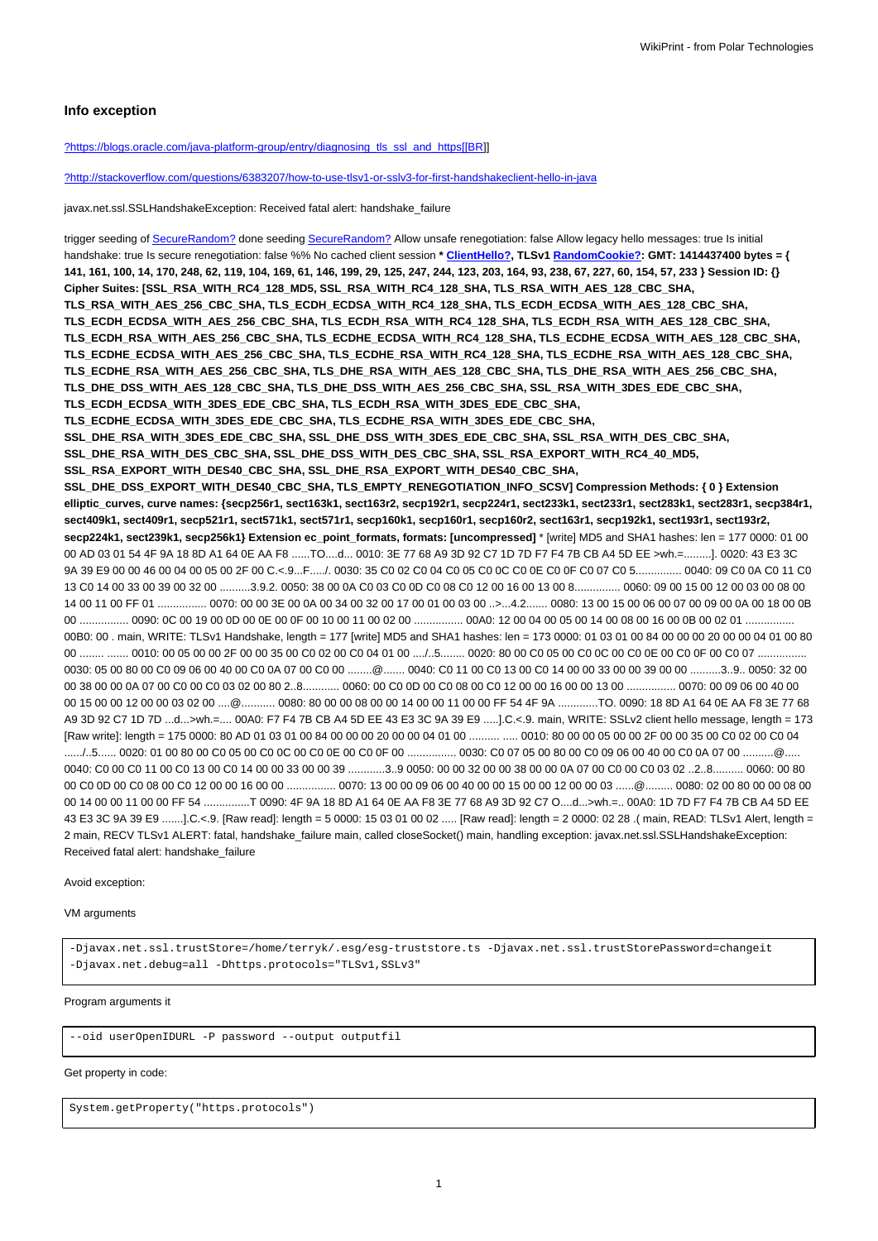### **Info exception**

[?https://blogs.oracle.com/java-platform-group/entry/diagnosing\\_tls\\_ssl\\_and\\_https\[\[BR\]](https://blogs.oracle.com/java-platform-group/entry/diagnosing_tls_ssl_and_https[[BR)]

[?http://stackoverflow.com/questions/6383207/how-to-use-tlsv1-or-sslv3-for-first-handshakeclient-hello-in-java](http://stackoverflow.com/questions/6383207/how-to-use-tlsv1-or-sslv3-for-first-handshakeclient-hello-in-java)

javax.net.ssl.SSLHandshakeException: Received fatal alert: handshake\_failure

trigger seeding of SecureRandom? done seeding SecureRandom? Allow unsafe renegotiation: false Allow legacy hello messages: true Is initial handshake: true Is secure renegotiation: false %% No cached client session \* ClientHello?, TLSv1 RandomCookie?: GMT: 1414437400 bytes = { **141, 161, 100, 14, 170, 248, 62, 119, 104, 169, 61, 146, 199, 29, 125, 247, 244, 123, 203, 164, 93, 238, 67, 227, 60, 154, 57, 233 } Session ID: {} Cipher Suites: [SSL\_RSA\_WITH\_RC4\_128\_MD5, SSL\_RSA\_WITH\_RC4\_128\_SHA, TLS\_RSA\_WITH\_AES\_128\_CBC\_SHA, TLS\_RSA\_WITH\_AES\_256\_CBC\_SHA, TLS\_ECDH\_ECDSA\_WITH\_RC4\_128\_SHA, TLS\_ECDH\_ECDSA\_WITH\_AES\_128\_CBC\_SHA, TLS\_ECDH\_ECDSA\_WITH\_AES\_256\_CBC\_SHA, TLS\_ECDH\_RSA\_WITH\_RC4\_128\_SHA, TLS\_ECDH\_RSA\_WITH\_AES\_128\_CBC\_SHA, TLS\_ECDH\_RSA\_WITH\_AES\_256\_CBC\_SHA, TLS\_ECDHE\_ECDSA\_WITH\_RC4\_128\_SHA, TLS\_ECDHE\_ECDSA\_WITH\_AES\_128\_CBC\_SHA, TLS\_ECDHE\_ECDSA\_WITH\_AES\_256\_CBC\_SHA, TLS\_ECDHE\_RSA\_WITH\_RC4\_128\_SHA, TLS\_ECDHE\_RSA\_WITH\_AES\_128\_CBC\_SHA, TLS\_ECDHE\_RSA\_WITH\_AES\_256\_CBC\_SHA, TLS\_DHE\_RSA\_WITH\_AES\_128\_CBC\_SHA, TLS\_DHE\_RSA\_WITH\_AES\_256\_CBC\_SHA, TLS\_DHE\_DSS\_WITH\_AES\_128\_CBC\_SHA, TLS\_DHE\_DSS\_WITH\_AES\_256\_CBC\_SHA, SSL\_RSA\_WITH\_3DES\_EDE\_CBC\_SHA, TLS\_ECDH\_ECDSA\_WITH\_3DES\_EDE\_CBC\_SHA, TLS\_ECDH\_RSA\_WITH\_3DES\_EDE\_CBC\_SHA, TLS\_ECDHE\_ECDSA\_WITH\_3DES\_EDE\_CBC\_SHA, TLS\_ECDHE\_RSA\_WITH\_3DES\_EDE\_CBC\_SHA, SSL\_DHE\_RSA\_WITH\_3DES\_EDE\_CBC\_SHA, SSL\_DHE\_DSS\_WITH\_3DES\_EDE\_CBC\_SHA, SSL\_RSA\_WITH\_DES\_CBC\_SHA, SSL\_DHE\_RSA\_WITH\_DES\_CBC\_SHA, SSL\_DHE\_DSS\_WITH\_DES\_CBC\_SHA, SSL\_RSA\_EXPORT\_WITH\_RC4\_40\_MD5, SSL\_RSA\_EXPORT\_WITH\_DES40\_CBC\_SHA, SSL\_DHE\_RSA\_EXPORT\_WITH\_DES40\_CBC\_SHA, SSL\_DHE\_DSS\_EXPORT\_WITH\_DES40\_CBC\_SHA, TLS\_EMPTY\_RENEGOTIATION\_INFO\_SCSV] Compression Methods: { 0 } Extension elliptic\_curves, curve names: {secp256r1, sect163k1, sect163r2, secp192r1, secp224r1, sect233k1, sect233r1, sect283k1, sect283r1, secp384r1, sect409k1, sect409r1, secp521r1, sect571k1, sect571r1, secp160k1, secp160r1, secp160r2, sect163r1, secp192k1, sect193r1, sect193r2, secp224k1, sect239k1, secp256k1} Extension ec\_point\_formats, formats: [uncompressed]** \* [write] MD5 and SHA1 hashes: len = 177 0000: 01 00 00 AD 03 01 54 4F 9A 18 8D A1 64 0E AA F8 ......TO....d... 0010: 3E 77 68 A9 3D 92 C7 1D 7D F7 F4 7B CB A4 5D EE >wh.=.........]. 0020: 43 E3 3C 9A 39 E9 00 00 46 00 04 00 05 00 2F 00 C.<.9...F...../. 0030: 35 C0 02 C0 04 C0 05 C0 0C C0 0E C0 0F C0 07 C0 5................. 0040: 09 C0 0A C0 11 C0 13 C0 14 00 33 00 39 00 32 00 ..........3.9.2. 0050: 38 00 0A C0 03 C0 0D C0 08 C0 12 00 16 00 13 00 8............... 0060: 09 00 15 00 12 00 03 00 08 00 14 00 11 00 FF 01 ................ 0070: 00 00 3E 00 0A 00 34 00 32 00 17 00 01 00 03 00 ..>...4.2....... 0080: 13 00 15 00 06 00 07 00 09 00 0A 00 18 00 0B 00 ................ 0090: 0C 00 19 00 0D 00 0E 00 0F 00 10 00 11 00 02 00 ................ 00A0: 12 00 04 00 05 00 14 00 08 00 16 00 0B 00 02 01 ................ 00B0: 00 . main, WRITE: TLSv1 Handshake, length = 177 [write] MD5 and SHA1 hashes: len = 173 0000: 01 03 01 00 84 00 00 00 20 00 00 04 01 00 80 00 ........ ....... 0010: 00 05 00 00 2F 00 00 35 00 C0 02 00 C0 04 01 00 ..../..5........ 0020: 80 00 C0 05 00 C0 0C 00 C0 0E 00 C0 0F 00 C0 07 ................. 0030: 05 00 80 00 C0 09 06 00 40 00 C0 0A 07 00 C0 00 ........@....... 0040: C0 11 00 C0 13 00 C0 14 00 00 33 00 00 39 00 00 ..........3..9.. 0050: 32 00 00 38 00 00 0A 07 00 C0 00 C0 03 02 00 80 2..8............ 0060: 00 C0 0D 00 C0 08 00 C0 12 00 00 16 00 00 13 00 ................ 0070: 00 09 06 00 40 00 00 15 00 00 12 00 00 03 02 00 ....@........... 0080: 80 00 00 08 00 00 14 00 00 11 00 00 FF 54 4F 9A .............TO. 0090: 18 8D A1 64 0E AA F8 3E 77 68 A9 3D 92 C7 1D 7D ...d...>wh.=.... 00A0: F7 F4 7B CB A4 5D EE 43 E3 3C 9A 39 E9 .....].C.<.9. main, WRITE: SSLv2 client hello message, length = 173 [Raw write]: length = 175 0000: 80 AD 01 03 01 00 84 00 00 00 20 00 00 04 01 00 .......... ...... 0010: 80 00 00 05 00 00 05 00 00 2F 00 00 35 00 C0 02 00 C0 04 ....../..5...... 0020: 01 00 80 00 C0 05 00 C0 0C 00 C0 0E 00 C0 0F 00 ................ 0030: C0 07 05 00 80 00 C0 09 06 00 40 00 C0 0A 07 00 ..........@..... 0040: C0 00 C0 11 00 C0 13 00 C0 14 00 00 33 00 00 39 ............3..9 0050: 00 00 32 00 00 38 00 00 0A 07 00 C0 00 C0 03 02 ..2..8.......... 0060: 00 80 00 C0 0D 00 C0 08 00 C0 12 00 00 16 00 00 ................... 0070: 13 00 00 09 06 00 40 00 00 15 00 00 12 00 00 03 ......@.......... 0080: 02 00 80 00 00 08 00 00 14 00 00 11 00 00 FF 54 ...............T 0090: 4F 9A 18 8D A1 64 0E AA F8 3E 77 68 A9 3D 92 C7 O....d...>wh.=.. 00A0: 1D 7D F7 F4 7B CB A4 5D EE 43 E3 3C 9A 39 E9 .......].C.<.9. [Raw read]: length = 5 0000: 15 03 01 00 02 ..... [Raw read]: length = 2 0000: 02 28 .( main, READ: TLSv1 Alert, length = 2 main, RECV TLSv1 ALERT: fatal, handshake failure main, called closeSocket() main, handling exception: javax.net.ssl.SSLHandshakeException: Received fatal alert: handshake\_failure

Avoid exception:

VM arguments

-Djavax.net.ssl.trustStore=/home/terryk/.esg/esg-truststore.ts -Djavax.net.ssl.trustStorePassword=changeit -Djavax.net.debug=all -Dhttps.protocols="TLSv1,SSLv3"

#### Program arguments it

--oid userOpenIDURL -P password --output outputfil

#### Get property in code:

System.getProperty("https.protocols")